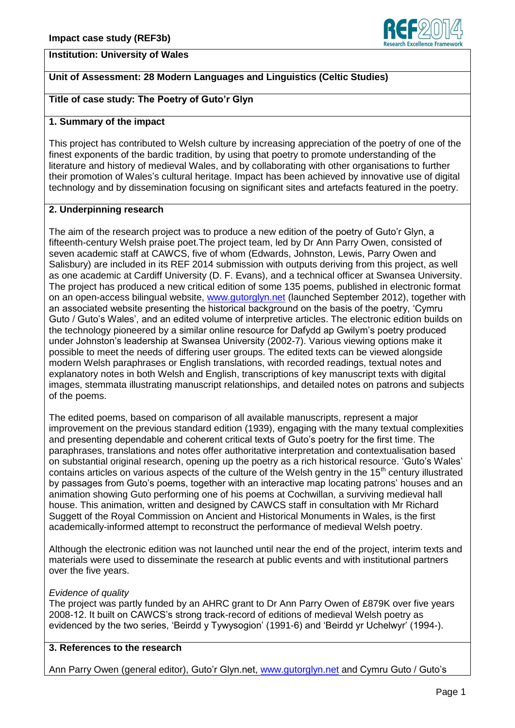

## **Institution: University of Wales**

# **Unit of Assessment: 28 Modern Languages and Linguistics (Celtic Studies)**

# **Title of case study: The Poetry of Guto'r Glyn**

#### **1. Summary of the impact**

This project has contributed to Welsh culture by increasing appreciation of the poetry of one of the finest exponents of the bardic tradition, by using that poetry to promote understanding of the literature and history of medieval Wales, and by collaborating with other organisations to further their promotion of Wales's cultural heritage. Impact has been achieved by innovative use of digital technology and by dissemination focusing on significant sites and artefacts featured in the poetry.

## **2. Underpinning research**

The aim of the research project was to produce a new edition of the poetry of Guto'r Glyn, a fifteenth-century Welsh praise poet.The project team, led by Dr Ann Parry Owen, consisted of seven academic staff at CAWCS, five of whom (Edwards, Johnston, Lewis, Parry Owen and Salisbury) are included in its REF 2014 submission with outputs deriving from this project, as well as one academic at Cardiff University (D. F. Evans), and a technical officer at Swansea University. The project has produced a new critical edition of some 135 poems, published in electronic format on an open-access bilingual website, [www.gutorglyn.net](http://www.gutorglyn.net/) (launched September 2012), together with an associated website presenting the historical background on the basis of the poetry, 'Cymru Guto / Guto's Wales', and an edited volume of interpretive articles. The electronic edition builds on the technology pioneered by a similar online resource for Dafydd ap Gwilym's poetry produced under Johnston's leadership at Swansea University (2002-7). Various viewing options make it possible to meet the needs of differing user groups. The edited texts can be viewed alongside modern Welsh paraphrases or English translations, with recorded readings, textual notes and explanatory notes in both Welsh and English, transcriptions of key manuscript texts with digital images, stemmata illustrating manuscript relationships, and detailed notes on patrons and subjects of the poems.

The edited poems, based on comparison of all available manuscripts, represent a major improvement on the previous standard edition (1939), engaging with the many textual complexities and presenting dependable and coherent critical texts of Guto's poetry for the first time. The paraphrases, translations and notes offer authoritative interpretation and contextualisation based on substantial original research, opening up the poetry as a rich historical resource. 'Guto's Wales' contains articles on various aspects of the culture of the Welsh gentry in the 15<sup>th</sup> century illustrated by passages from Guto's poems, together with an interactive map locating patrons' houses and an animation showing Guto performing one of his poems at Cochwillan, a surviving medieval hall house. This animation, written and designed by CAWCS staff in consultation with Mr Richard Suggett of the Royal Commission on Ancient and Historical Monuments in Wales, is the first academically-informed attempt to reconstruct the performance of medieval Welsh poetry.

Although the electronic edition was not launched until near the end of the project, interim texts and materials were used to disseminate the research at public events and with institutional partners over the five years.

## *Evidence of quality*

The project was partly funded by an AHRC grant to Dr Ann Parry Owen of £879K over five years 2008-12. It built on CAWCS's strong track-record of editions of medieval Welsh poetry as evidenced by the two series, 'Beirdd y Tywysogion' (1991-6) and 'Beirdd yr Uchelwyr' (1994-).

## **3. References to the research**

Ann Parry Owen (general editor), Guto'r Glyn.net, [www.gutorglyn.net](http://www.gutorglyn.net/) and Cymru Guto / Guto's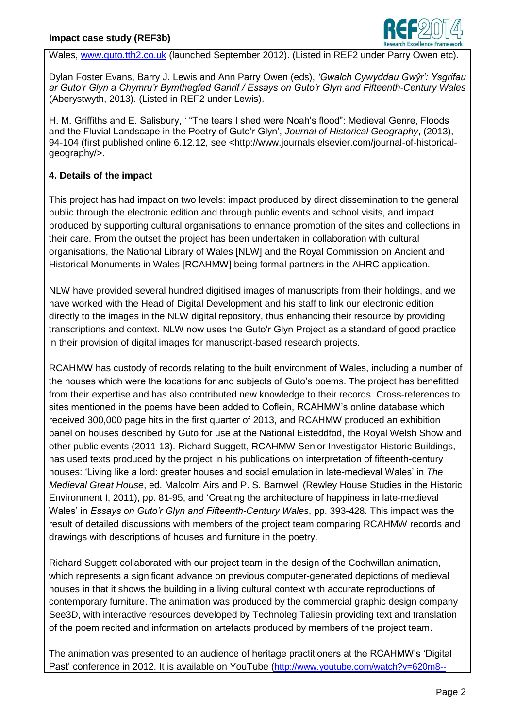

Wales, [www.guto.tth2.co.uk](http://www.guto.tth2.co.uk/) (launched September 2012). (Listed in REF2 under Parry Owen etc).

Dylan Foster Evans, Barry J. Lewis and Ann Parry Owen (eds), *'Gwalch Cywyddau Gwŷr': Ysgrifau ar Guto'r Glyn a Chymru'r Bymthegfed Ganrif / Essays on Guto'r Glyn and Fifteenth-Century Wales* (Aberystwyth, 2013). (Listed in REF2 under Lewis).

H. M. Griffiths and E. Salisbury, ' "The tears I shed were Noah's flood": Medieval Genre, Floods and the Fluvial Landscape in the Poetry of Guto'r Glyn', *Journal of Historical Geography*, (2013), 94-104 (first published online 6.12.12, see <http://www.journals.elsevier.com/journal-of-historicalgeography/>.

# **4. Details of the impact**

This project has had impact on two levels: impact produced by direct dissemination to the general public through the electronic edition and through public events and school visits, and impact produced by supporting cultural organisations to enhance promotion of the sites and collections in their care. From the outset the project has been undertaken in collaboration with cultural organisations, the National Library of Wales [NLW] and the Royal Commission on Ancient and Historical Monuments in Wales [RCAHMW] being formal partners in the AHRC application.

NLW have provided several hundred digitised images of manuscripts from their holdings, and we have worked with the Head of Digital Development and his staff to link our electronic edition directly to the images in the NLW digital repository, thus enhancing their resource by providing transcriptions and context. NLW now uses the Guto'r Glyn Project as a standard of good practice in their provision of digital images for manuscript-based research projects.

RCAHMW has custody of records relating to the built environment of Wales, including a number of the houses which were the locations for and subjects of Guto's poems. The project has benefitted from their expertise and has also contributed new knowledge to their records. Cross-references to sites mentioned in the poems have been added to Coflein, RCAHMW's online database which received 300,000 page hits in the first quarter of 2013, and RCAHMW produced an exhibition panel on houses described by Guto for use at the National Eisteddfod, the Royal Welsh Show and other public events (2011-13). Richard Suggett, RCAHMW Senior Investigator Historic Buildings, has used texts produced by the project in his publications on interpretation of fifteenth-century houses: 'Living like a lord: greater houses and social emulation in late-medieval Wales' in *The Medieval Great House*, ed. Malcolm Airs and P. S. Barnwell (Rewley House Studies in the Historic Environment I, 2011), pp. 81-95, and 'Creating the architecture of happiness in late-medieval Wales' in *Essays on Guto'r Glyn and Fifteenth-Century Wales*, pp. 393-428. This impact was the result of detailed discussions with members of the project team comparing RCAHMW records and drawings with descriptions of houses and furniture in the poetry.

Richard Suggett collaborated with our project team in the design of the Cochwillan animation, which represents a significant advance on previous computer-generated depictions of medieval houses in that it shows the building in a living cultural context with accurate reproductions of contemporary furniture. The animation was produced by the commercial graphic design company See3D, with interactive resources developed by Technoleg Taliesin providing text and translation of the poem recited and information on artefacts produced by members of the project team.

The animation was presented to an audience of heritage practitioners at the RCAHMW's 'Digital Past' conference in 2012. It is available on YouTube ([http://www.youtube.com/watch?v=620m8--](http://www.youtube.com/watch?v=620m8--EP5U)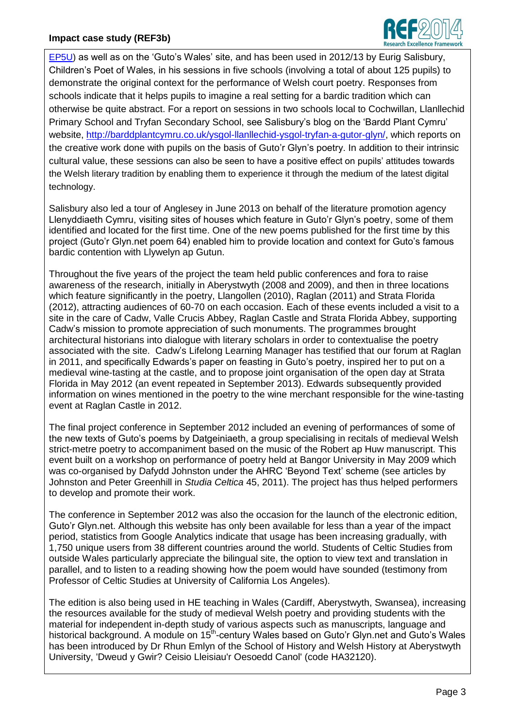

[EP5U\)](http://www.youtube.com/watch?v=620m8--EP5U) as well as on the 'Guto's Wales' site, and has been used in 2012/13 by Eurig Salisbury, Children's Poet of Wales, in his sessions in five schools (involving a total of about 125 pupils) to demonstrate the original context for the performance of Welsh court poetry. Responses from schools indicate that it helps pupils to imagine a real setting for a bardic tradition which can otherwise be quite abstract. For a report on sessions in two schools local to Cochwillan, Llanllechid Primary School and Tryfan Secondary School, see Salisbury's blog on the 'Bardd Plant Cymru' website, [http://barddplantcymru.co.uk/ysgol-llanllechid-ysgol-tryfan-a-gutor-glyn/,](http://barddplantcymru.co.uk/ysgol-llanllechid-ysgol-tryfan-a-gutor-glyn/) which reports on the creative work done with pupils on the basis of Guto'r Glyn's poetry. In addition to their intrinsic cultural value, these sessions can also be seen to have a positive effect on pupils' attitudes towards the Welsh literary tradition by enabling them to experience it through the medium of the latest digital technology.

Salisbury also led a tour of Anglesey in June 2013 on behalf of the literature promotion agency Llenyddiaeth Cymru, visiting sites of houses which feature in Guto'r Glyn's poetry, some of them identified and located for the first time. One of the new poems published for the first time by this project (Guto'r Glyn.net poem 64) enabled him to provide location and context for Guto's famous bardic contention with Llywelyn ap Gutun.

Throughout the five years of the project the team held public conferences and fora to raise awareness of the research, initially in Aberystwyth (2008 and 2009), and then in three locations which feature significantly in the poetry, Llangollen (2010), Raglan (2011) and Strata Florida (2012), attracting audiences of 60-70 on each occasion. Each of these events included a visit to a site in the care of Cadw, Valle Crucis Abbey, Raglan Castle and Strata Florida Abbey, supporting Cadw's mission to promote appreciation of such monuments. The programmes brought architectural historians into dialogue with literary scholars in order to contextualise the poetry associated with the site. Cadw's Lifelong Learning Manager has testified that our forum at Raglan in 2011, and specifically Edwards's paper on feasting in Guto's poetry, inspired her to put on a medieval wine-tasting at the castle, and to propose joint organisation of the open day at Strata Florida in May 2012 (an event repeated in September 2013). Edwards subsequently provided information on wines mentioned in the poetry to the wine merchant responsible for the wine-tasting event at Raglan Castle in 2012.

The final project conference in September 2012 included an evening of performances of some of the new texts of Guto's poems by Datgeiniaeth, a group specialising in recitals of medieval Welsh strict-metre poetry to accompaniment based on the music of the Robert ap Huw manuscript. This event built on a workshop on performance of poetry held at Bangor University in May 2009 which was co-organised by Dafydd Johnston under the AHRC 'Beyond Text' scheme (see articles by Johnston and Peter Greenhill in *Studia Celtica* 45, 2011). The project has thus helped performers to develop and promote their work.

The conference in September 2012 was also the occasion for the launch of the electronic edition, Guto'r Glyn.net. Although this website has only been available for less than a year of the impact period, statistics from Google Analytics indicate that usage has been increasing gradually, with 1,750 unique users from 38 different countries around the world. Students of Celtic Studies from outside Wales particularly appreciate the bilingual site, the option to view text and translation in parallel, and to listen to a reading showing how the poem would have sounded (testimony from Professor of Celtic Studies at University of California Los Angeles).

The edition is also being used in HE teaching in Wales (Cardiff, Aberystwyth, Swansea), increasing the resources available for the study of medieval Welsh poetry and providing students with the material for independent in-depth study of various aspects such as manuscripts, language and historical background. A module on 15<sup>th</sup>-century Wales based on Guto'r Glyn.net and Guto's Wales has been introduced by Dr Rhun Emlyn of the School of History and Welsh History at Aberystwyth University, 'Dweud y Gwir? Ceisio Lleisiau'r Oesoedd Canol' (code HA32120).